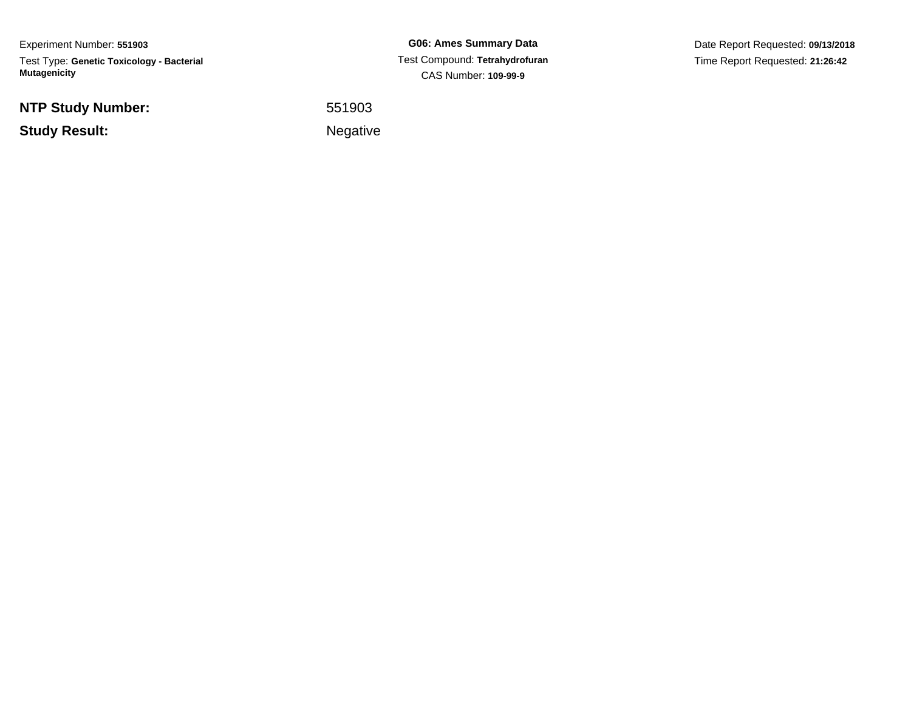Experiment Number: **551903**Test Type: **Genetic Toxicology - Bacterial Mutagenicity**

**NTP Study Number:**

**Study Result:**

**G06: Ames Summary Data** Test Compound: **Tetrahydrofuran**CAS Number: **109-99-9**

Date Report Requested: **09/13/2018**Time Report Requested: **21:26:42**

<sup>551903</sup>

Negative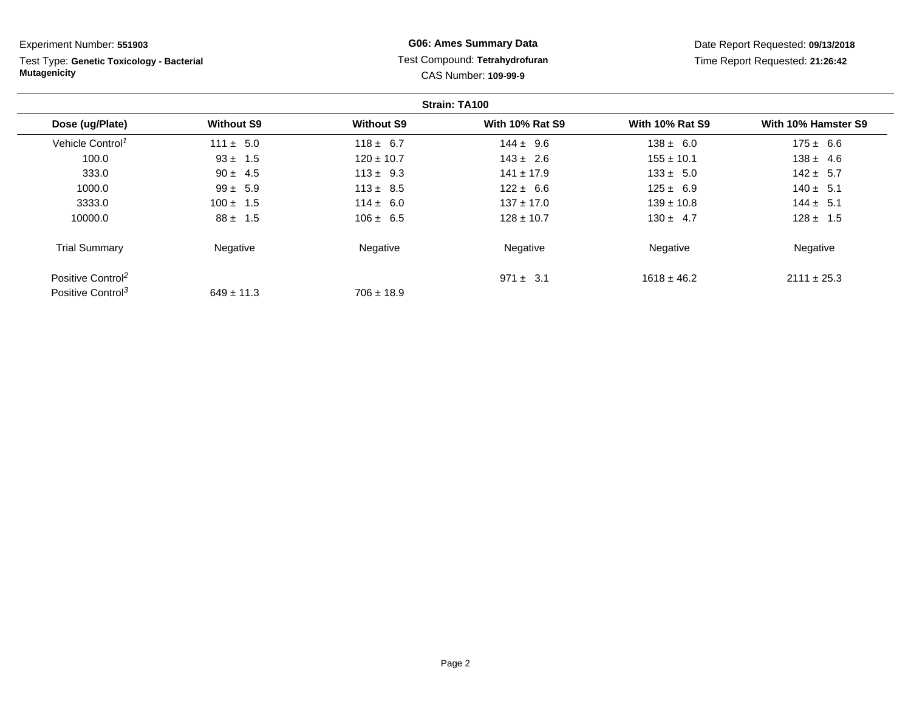**Strain: TA100Dose (ug/Plate) Without S9 Without S9 With 10% Rat S9 With 10% Rat S9 With 10% Hamster S9** Vehicle Control<sup>1</sup>  $111 \pm 5.0$ 0 118 ± 6.7 144 ± 9.6 138 ± 6.0 175 ± 6.6 100.00  $93 \pm 1.5$  120  $\pm 10.7$  143  $\pm 2.6$  155  $\pm 10.1$  138  $\pm 4.6$  $332.0$ 0 5  $90 \pm 4.5$  113  $\pm 9.3$  141  $\pm 17.9$  133  $\pm 5.0$  142  $\pm 5.7$ 1000.0Experiment Number: **551903** Test Type: **Genetic Toxicology - BacterialMutagenicityG06: Ames Summary Data** Test Compound: **Tetrahydrofuran**CAS Number: **109-99-9**Date Report Requested: **09/13/2018**Time Report Requested: **21:26:42**

| 333.0                         | $90 \pm 4.5$   | $113 \pm 9.3$  | $141 \pm 17.9$ | $133 \pm 5.0$   | $142 \pm 5.7$   |
|-------------------------------|----------------|----------------|----------------|-----------------|-----------------|
| 1000.0                        | $99 \pm 5.9$   | $113 \pm 8.5$  | $122 \pm 6.6$  | $125 \pm 6.9$   | $140 \pm 5.1$   |
| 3333.0                        | $100 \pm 1.5$  | $114 \pm 6.0$  | $137 \pm 17.0$ | $139 \pm 10.8$  | $144 \pm 5.1$   |
| 10000.0                       | $88 \pm 1.5$   | $106 \pm 6.5$  | $128 \pm 10.7$ | $130 \pm 4.7$   | $128 \pm 1.5$   |
| <b>Trial Summary</b>          | Negative       | Negative       | Negative       | Negative        | Negative        |
| Positive Control <sup>2</sup> |                |                | $971 \pm 3.1$  | $1618 \pm 46.2$ | $2111 \pm 25.3$ |
| Positive Control <sup>3</sup> | $649 \pm 11.3$ | $706 \pm 18.9$ |                |                 |                 |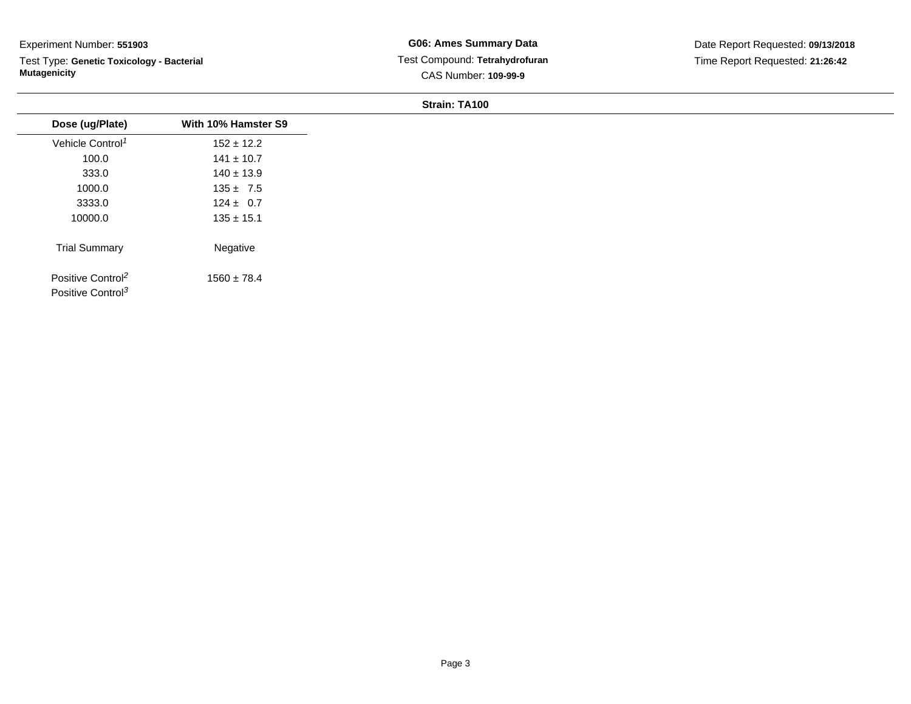Test Type: **Genetic Toxicology - Bacterial Mutagenicity**

| Dose (ug/Plate)                                                | With 10% Hamster S9 |
|----------------------------------------------------------------|---------------------|
| Vehicle Control <sup>1</sup>                                   | $152 \pm 12.2$      |
| 100.0                                                          | $141 \pm 10.7$      |
| 333.0                                                          | $140 \pm 13.9$      |
| 1000.0                                                         | $135 \pm 7.5$       |
| 3333.0                                                         | $124 \pm 0.7$       |
| 10000.0                                                        | $135 \pm 15.1$      |
| <b>Trial Summary</b>                                           | Negative            |
| Positive Control <sup>2</sup><br>Positive Control <sup>3</sup> | $1560 \pm 78.4$     |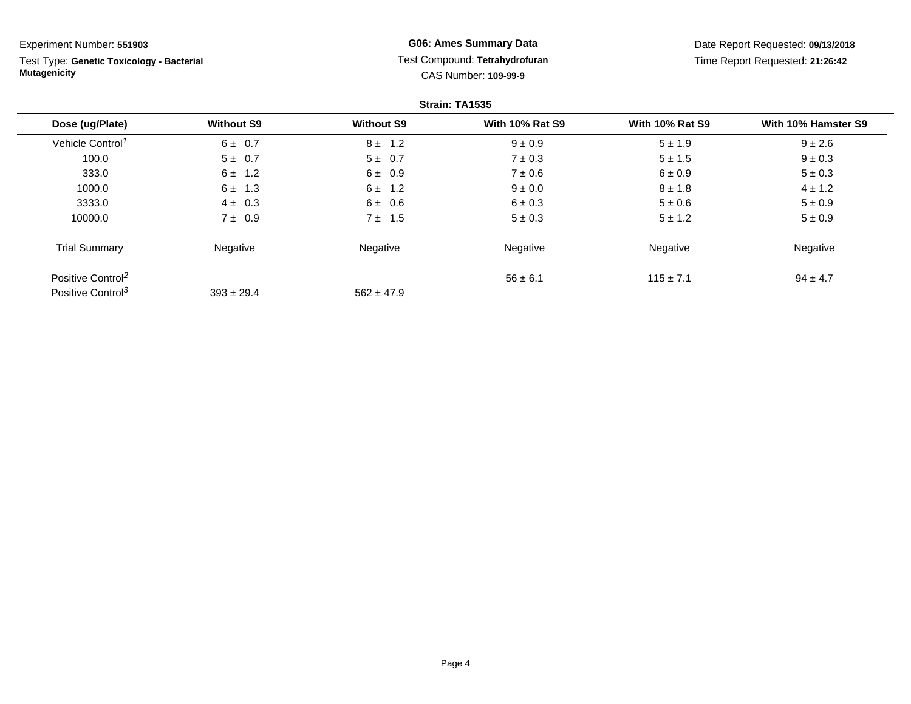Test Type: **Genetic Toxicology - Bacterial Mutagenicity**

**G06: Ames Summary Data** Test Compound: **Tetrahydrofuran**CAS Number: **109-99-9**

Date Report Requested: **09/13/2018**Time Report Requested: **21:26:42**

|                               |                   |                   | Strain: TA1535         |                        |                     |
|-------------------------------|-------------------|-------------------|------------------------|------------------------|---------------------|
| Dose (ug/Plate)               | <b>Without S9</b> | <b>Without S9</b> | <b>With 10% Rat S9</b> | <b>With 10% Rat S9</b> | With 10% Hamster S9 |
| Vehicle Control <sup>1</sup>  | $6 \pm 0.7$       | $8 \pm 1.2$       | $9 \pm 0.9$            | $5 \pm 1.9$            | $9 \pm 2.6$         |
| 100.0                         | $5 \pm 0.7$       | $5 \pm 0.7$       | $7 \pm 0.3$            | $5 \pm 1.5$            | $9 \pm 0.3$         |
| 333.0                         | $6 \pm 1.2$       | $6 \pm 0.9$       | $7 \pm 0.6$            | $6 \pm 0.9$            | $5 \pm 0.3$         |
| 1000.0                        | $6 \pm 1.3$       | $6 \pm 1.2$       | $9 \pm 0.0$            | $8 \pm 1.8$            | $4 \pm 1.2$         |
| 3333.0                        | $4 \pm 0.3$       | $6 \pm 0.6$       | $6 \pm 0.3$            | $5 \pm 0.6$            | $5 \pm 0.9$         |
| 10000.0                       | $7 \pm 0.9$       | $7 \pm 1.5$       | $5 \pm 0.3$            | $5 \pm 1.2$            | $5 \pm 0.9$         |
| <b>Trial Summary</b>          | Negative          | Negative          | Negative               | Negative               | Negative            |
| Positive Control <sup>2</sup> |                   |                   | $56 \pm 6.1$           | $115 \pm 7.1$          | $94 \pm 4.7$        |
| Positive Control <sup>3</sup> | $393 \pm 29.4$    | $562 \pm 47.9$    |                        |                        |                     |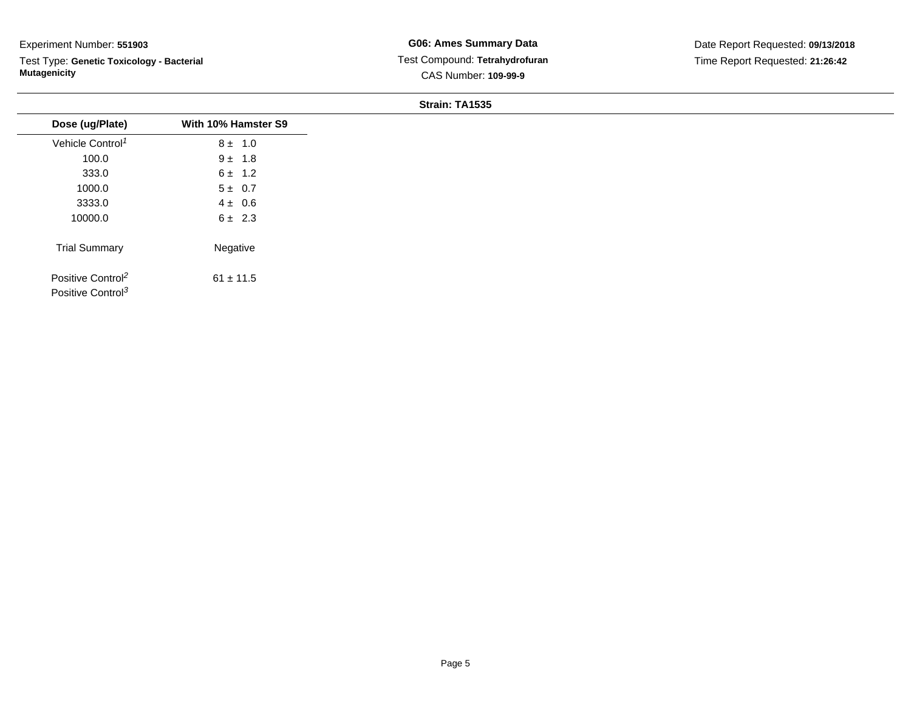$\overline{\phantom{a}}$ 

Test Type: **Genetic Toxicology - Bacterial Mutagenicity**

**G06: Ames Summary Data** Test Compound: **Tetrahydrofuran**CAS Number: **109-99-9**

| Dose (ug/Plate)                                                | With 10% Hamster S9 |
|----------------------------------------------------------------|---------------------|
| Vehicle Control <sup>1</sup>                                   | $8 \pm 1.0$         |
| 100.0                                                          | $9 \pm 1.8$         |
| 333.0                                                          | $6 \pm 1.2$         |
| 1000.0                                                         | $5 \pm 0.7$         |
| 3333.0                                                         | $4 \pm 0.6$         |
| 10000.0                                                        | $6 \pm 2.3$         |
| <b>Trial Summary</b>                                           | Negative            |
| Positive Control <sup>2</sup><br>Positive Control <sup>3</sup> | $61 \pm 11.5$       |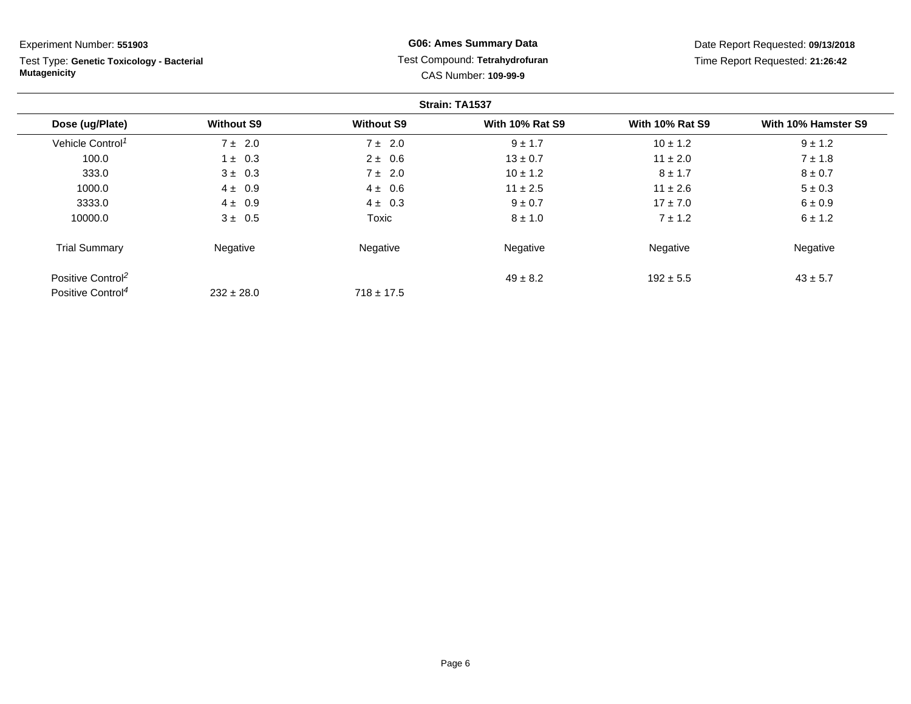Test Type: **Genetic Toxicology - Bacterial Mutagenicity**

### **G06: Ames Summary Data** Test Compound: **Tetrahydrofuran**CAS Number: **109-99-9**

Date Report Requested: **09/13/2018**Time Report Requested: **21:26:42**

|                               |                   |                   | Strain: TA1537         |                        |                     |
|-------------------------------|-------------------|-------------------|------------------------|------------------------|---------------------|
| Dose (ug/Plate)               | <b>Without S9</b> | <b>Without S9</b> | <b>With 10% Rat S9</b> | <b>With 10% Rat S9</b> | With 10% Hamster S9 |
| Vehicle Control <sup>1</sup>  | $7 \pm 2.0$       | $7 \pm 2.0$       | $9 \pm 1.7$            | $10 \pm 1.2$           | $9 \pm 1.2$         |
| 100.0                         | $1 \pm 0.3$       | $2 \pm 0.6$       | $13 \pm 0.7$           | $11 \pm 2.0$           | $7 \pm 1.8$         |
| 333.0                         | $3 \pm 0.3$       | $7 \pm 2.0$       | $10 \pm 1.2$           | $8 \pm 1.7$            | $8 \pm 0.7$         |
| 1000.0                        | $4 \pm 0.9$       | $4 \pm 0.6$       | $11 \pm 2.5$           | $11 \pm 2.6$           | $5 \pm 0.3$         |
| 3333.0                        | $4 \pm 0.9$       | $4 \pm 0.3$       | $9 \pm 0.7$            | $17 \pm 7.0$           | $6 \pm 0.9$         |
| 10000.0                       | $3 \pm 0.5$       | Toxic             | $8 \pm 1.0$            | $7 \pm 1.2$            | $6 \pm 1.2$         |
| <b>Trial Summary</b>          | Negative          | Negative          | Negative               | Negative               | Negative            |
| Positive Control <sup>2</sup> |                   |                   | $49 \pm 8.2$           | $192 \pm 5.5$          | $43 \pm 5.7$        |
| Positive Control <sup>4</sup> | $232 \pm 28.0$    | $718 \pm 17.5$    |                        |                        |                     |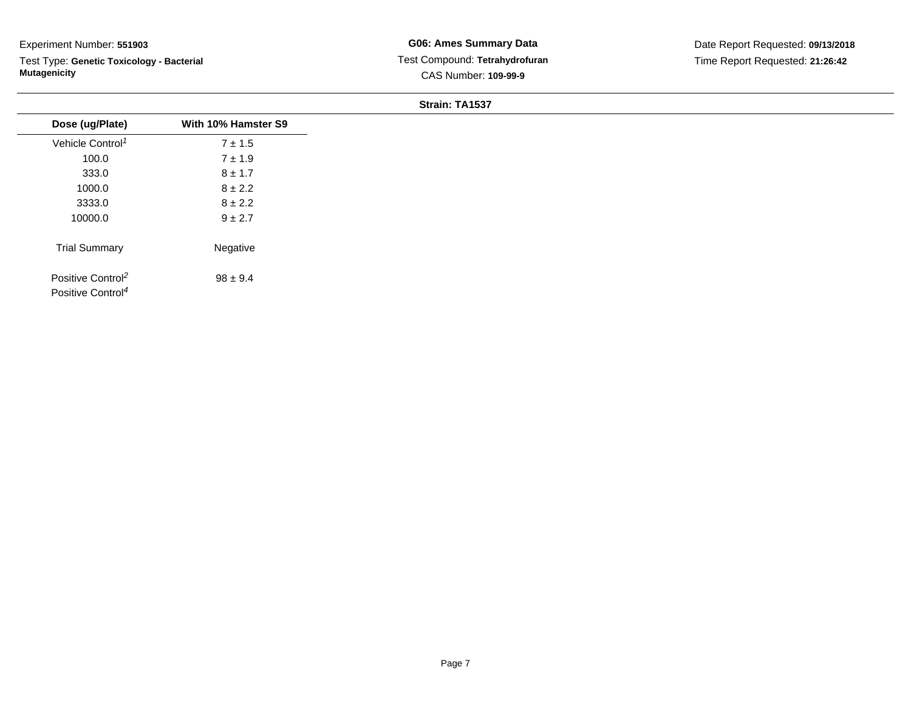Test Type: **Genetic Toxicology - Bacterial Mutagenicity**

| Dose (ug/Plate)                                                | With 10% Hamster S9 |
|----------------------------------------------------------------|---------------------|
| Vehicle Control <sup>1</sup>                                   | $7 \pm 1.5$         |
| 100.0                                                          | $7 \pm 1.9$         |
| 333.0                                                          | $8 \pm 1.7$         |
| 1000.0                                                         | $8 \pm 2.2$         |
| 3333.0                                                         | $8 \pm 2.2$         |
| 10000.0                                                        | $9 \pm 2.7$         |
| <b>Trial Summary</b>                                           | Negative            |
| Positive Control <sup>2</sup><br>Positive Control <sup>4</sup> | $98 \pm 9.4$        |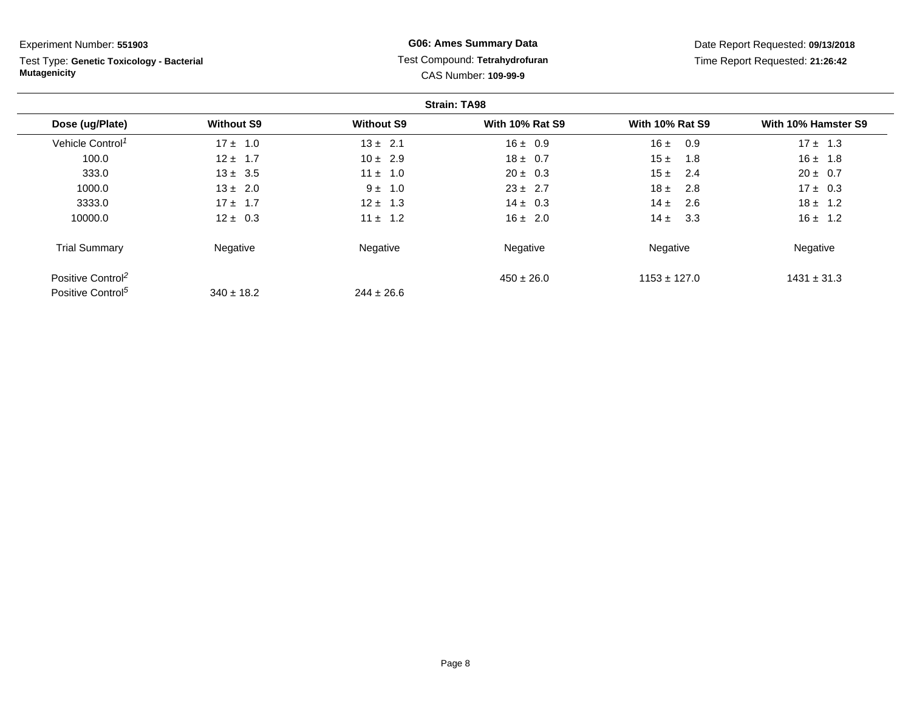Test Type: **Genetic Toxicology - Bacterial Mutagenicity**

### **G06: Ames Summary Data** Test Compound: **Tetrahydrofuran**CAS Number: **109-99-9**

Date Report Requested: **09/13/2018**Time Report Requested: **21:26:42**

|                               |                   |                   | <b>Strain: TA98</b>    |                        |                     |
|-------------------------------|-------------------|-------------------|------------------------|------------------------|---------------------|
| Dose (ug/Plate)               | <b>Without S9</b> | <b>Without S9</b> | <b>With 10% Rat S9</b> | <b>With 10% Rat S9</b> | With 10% Hamster S9 |
| Vehicle Control <sup>1</sup>  | $17 \pm 1.0$      | $13 \pm 2.1$      | $16 \pm 0.9$           | 16±<br>0.9             | $17 \pm 1.3$        |
| 100.0                         | $12 \pm 1.7$      | $10 \pm 2.9$      | $18 \pm 0.7$           | 15±<br>1.8             | $16 \pm 1.8$        |
| 333.0                         | $13 \pm 3.5$      | $11 \pm 1.0$      | $20 \pm 0.3$           | 15±<br>2.4             | $20 \pm 0.7$        |
| 1000.0                        | $13 \pm 2.0$      | 1.0<br>$9 \pm$    | $23 \pm 2.7$           | $18 \pm$<br>2.8        | $17 \pm 0.3$        |
| 3333.0                        | $17 + 1.7$        | $12 \pm 1.3$      | $14 \pm 0.3$           | $14 \pm$<br>2.6        | $18 \pm 1.2$        |
| 10000.0                       | $12 \pm 0.3$      | $11 \pm 1.2$      | $16 \pm 2.0$           | $14 \pm$<br>3.3        | $16 \pm 1.2$        |
| <b>Trial Summary</b>          | Negative          | Negative          | Negative               | Negative               | Negative            |
| Positive Control <sup>2</sup> |                   |                   | $450 \pm 26.0$         | $1153 \pm 127.0$       | $1431 \pm 31.3$     |
| Positive Control <sup>5</sup> | $340 \pm 18.2$    | $244 \pm 26.6$    |                        |                        |                     |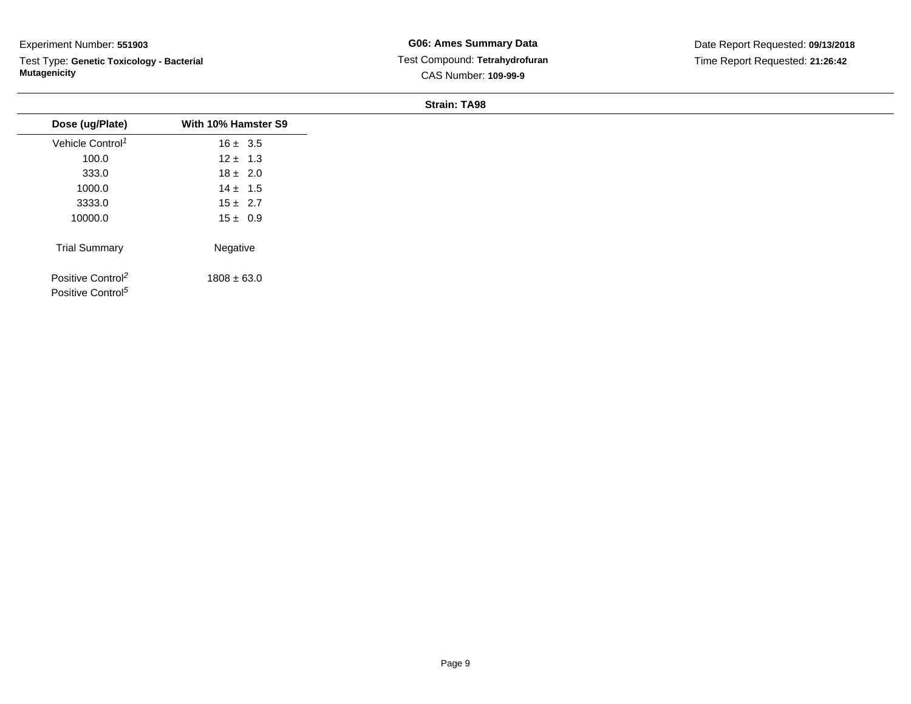Test Type: **Genetic Toxicology - Bacterial Mutagenicity**

**G06: Ames Summary Data** Test Compound: **Tetrahydrofuran**CAS Number: **109-99-9**

| Dose (ug/Plate)<br>Vehicle Control <sup>1</sup><br>100.0       | With 10% Hamster S9<br>$16 \pm 3.5$ |
|----------------------------------------------------------------|-------------------------------------|
|                                                                |                                     |
|                                                                |                                     |
|                                                                | $12 \pm 1.3$                        |
| 333.0                                                          | $18 \pm 2.0$                        |
| 1000.0                                                         | $14 \pm 1.5$                        |
| 3333.0                                                         | $15 \pm 2.7$                        |
| 10000.0                                                        | $15 \pm 0.9$                        |
| <b>Trial Summary</b>                                           | Negative                            |
| Positive Control <sup>2</sup><br>Positive Control <sup>5</sup> | $1808 \pm 63.0$                     |